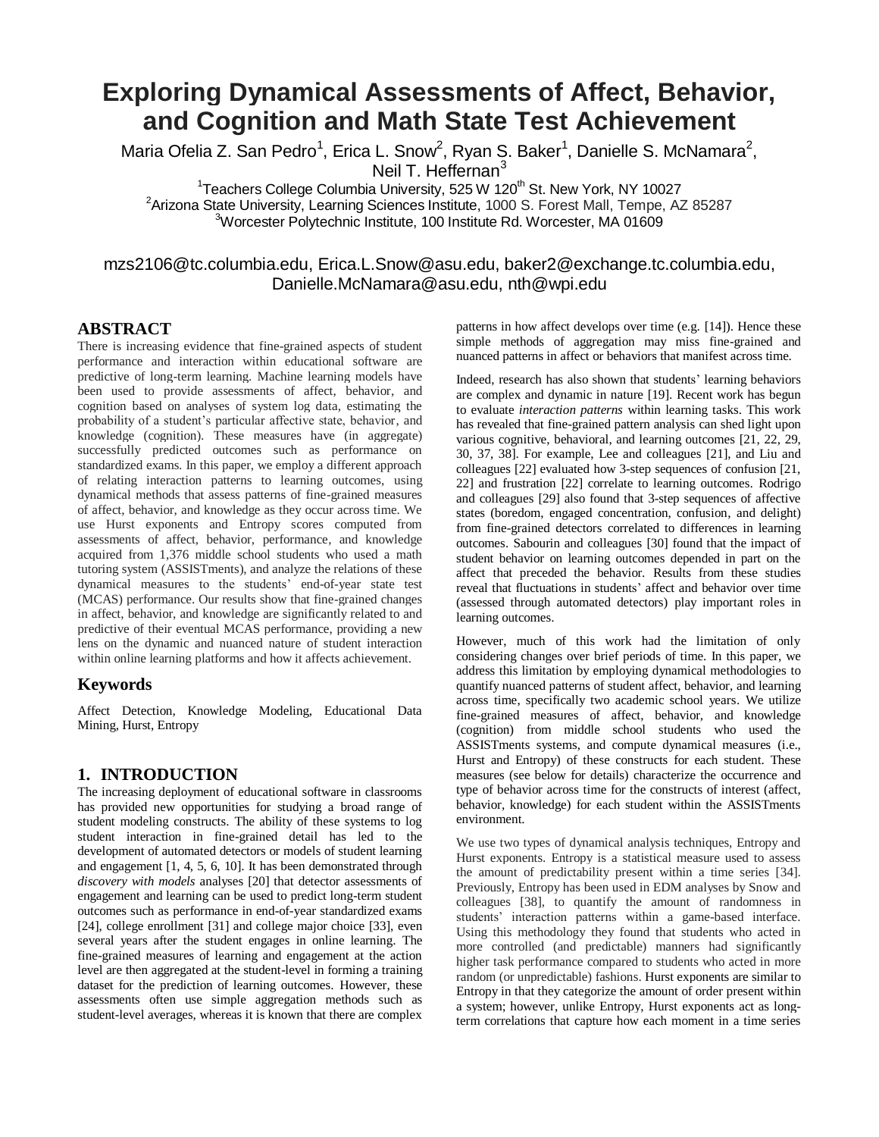# **Exploring Dynamical Assessments of Affect, Behavior, and Cognition and Math State Test Achievement**

Maria Ofelia Z. San Pedro<sup>1</sup>, Erica L. Snow<sup>2</sup>, Ryan S. Baker<sup>1</sup>, Danielle S. McNamara<sup>2</sup>, Neil T. Heffernan<sup>3</sup>

<sup>1</sup>Teachers College Columbia University, 525 W 120<sup>th</sup> St. New York, NY 10027 <sup>2</sup>Arizona State University, Learning Sciences Institute, 1000 S. Forest Mall, Tempe, AZ 85287 <sup>3</sup>Worcester Polytechnic Institute, 100 Institute Rd. Worcester, MA 01609

# mzs2106@tc.columbia.edu, [Erica.L.Snow@asu.edu,](mailto:Erica.L.Snow@asu.edu) baker2@exchange.tc.columbia.edu, Danielle.McNamara@asu.edu, nth@wpi.edu

## **ABSTRACT**

There is increasing evidence that fine-grained aspects of student performance and interaction within educational software are predictive of long-term learning. Machine learning models have been used to provide assessments of affect, behavior, and cognition based on analyses of system log data, estimating the probability of a student's particular affective state, behavior, and knowledge (cognition). These measures have (in aggregate) successfully predicted outcomes such as performance on standardized exams. In this paper, we employ a different approach of relating interaction patterns to learning outcomes, using dynamical methods that assess patterns of fine-grained measures of affect, behavior, and knowledge as they occur across time. We use Hurst exponents and Entropy scores computed from assessments of affect, behavior, performance, and knowledge acquired from 1,376 middle school students who used a math tutoring system (ASSISTments), and analyze the relations of these dynamical measures to the students' end-of-year state test (MCAS) performance. Our results show that fine-grained changes in affect, behavior, and knowledge are significantly related to and predictive of their eventual MCAS performance, providing a new lens on the dynamic and nuanced nature of student interaction within online learning platforms and how it affects achievement.

#### **Keywords**

Affect Detection, Knowledge Modeling, Educational Data Mining, Hurst, Entropy

## **1. INTRODUCTION**

The increasing deployment of educational software in classrooms has provided new opportunities for studying a broad range of student modeling constructs. The ability of these systems to log student interaction in fine-grained detail has led to the development of automated detectors or models of student learning and engagement [1, 4, 5, 6, 10]. It has been demonstrated through *discovery with models* analyses [20] that detector assessments of engagement and learning can be used to predict long-term student outcomes such as performance in end-of-year standardized exams [24], college enrollment [31] and college major choice [33], even several years after the student engages in online learning. The fine-grained measures of learning and engagement at the action level are then aggregated at the student-level in forming a training dataset for the prediction of learning outcomes. However, these assessments often use simple aggregation methods such as student-level averages, whereas it is known that there are complex

patterns in how affect develops over time (e.g. [14]). Hence these simple methods of aggregation may miss fine-grained and nuanced patterns in affect or behaviors that manifest across time.

Indeed, research has also shown that students' learning behaviors are complex and dynamic in nature [19]. Recent work has begun to evaluate *interaction patterns* within learning tasks. This work has revealed that fine-grained pattern analysis can shed light upon various cognitive, behavioral, and learning outcomes [21, 22, 29, 30, 37, 38]. For example, Lee and colleagues [21], and Liu and colleagues [22] evaluated how 3-step sequences of confusion [21, 22] and frustration [22] correlate to learning outcomes. Rodrigo and colleagues [29] also found that 3-step sequences of affective states (boredom, engaged concentration, confusion, and delight) from fine-grained detectors correlated to differences in learning outcomes. Sabourin and colleagues [30] found that the impact of student behavior on learning outcomes depended in part on the affect that preceded the behavior. Results from these studies reveal that fluctuations in students' affect and behavior over time (assessed through automated detectors) play important roles in learning outcomes.

However, much of this work had the limitation of only considering changes over brief periods of time. In this paper, we address this limitation by employing dynamical methodologies to quantify nuanced patterns of student affect, behavior, and learning across time, specifically two academic school years. We utilize fine-grained measures of affect, behavior, and knowledge (cognition) from middle school students who used the ASSISTments systems, and compute dynamical measures (i.e., Hurst and Entropy) of these constructs for each student. These measures (see below for details) characterize the occurrence and type of behavior across time for the constructs of interest (affect, behavior, knowledge) for each student within the ASSISTments environment.

We use two types of dynamical analysis techniques, Entropy and Hurst exponents. Entropy is a statistical measure used to assess the amount of predictability present within a time series [34]. Previously, Entropy has been used in EDM analyses by Snow and colleagues [38], to quantify the amount of randomness in students' interaction patterns within a game-based interface. Using this methodology they found that students who acted in more controlled (and predictable) manners had significantly higher task performance compared to students who acted in more random (or unpredictable) fashions. Hurst exponents are similar to Entropy in that they categorize the amount of order present within a system; however, unlike Entropy, Hurst exponents act as longterm correlations that capture how each moment in a time series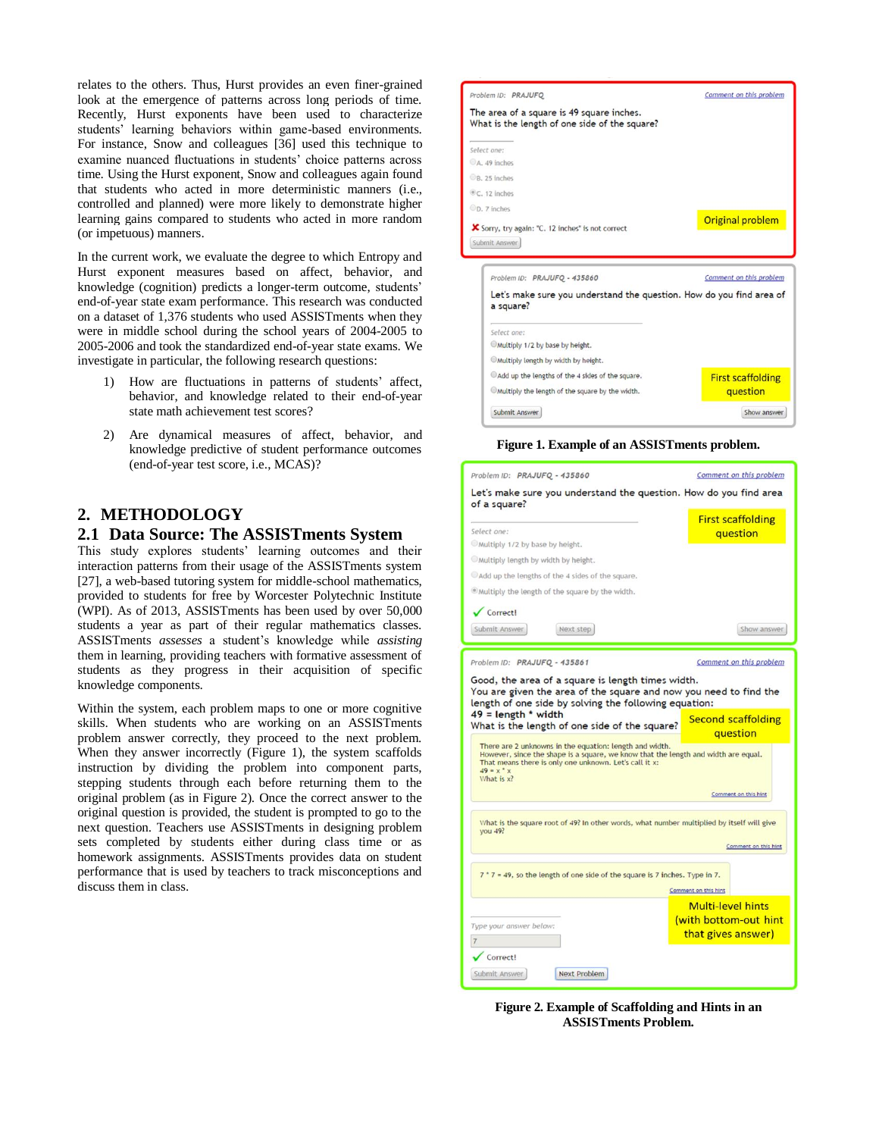relates to the others. Thus, Hurst provides an even finer-grained look at the emergence of patterns across long periods of time. Recently, Hurst exponents have been used to characterize students' learning behaviors within game-based environments. For instance, Snow and colleagues [36] used this technique to examine nuanced fluctuations in students' choice patterns across time. Using the Hurst exponent, Snow and colleagues again found that students who acted in more deterministic manners (i.e., controlled and planned) were more likely to demonstrate higher learning gains compared to students who acted in more random (or impetuous) manners.

In the current work, we evaluate the degree to which Entropy and Hurst exponent measures based on affect, behavior, and knowledge (cognition) predicts a longer-term outcome, students' end-of-year state exam performance. This research was conducted on a dataset of 1,376 students who used ASSISTments when they were in middle school during the school years of 2004-2005 to 2005-2006 and took the standardized end-of-year state exams. We investigate in particular, the following research questions:

- 1) How are fluctuations in patterns of students' affect, behavior, and knowledge related to their end-of-year state math achievement test scores?
- 2) Are dynamical measures of affect, behavior, and knowledge predictive of student performance outcomes (end-of-year test score, i.e., MCAS)?

# **2. METHODOLOGY**

## **2.1 Data Source: The ASSISTments System**

This study explores students' learning outcomes and their interaction patterns from their usage of the ASSISTments system [27], a web-based tutoring system for middle-school mathematics, provided to students for free by Worcester Polytechnic Institute (WPI). As of 2013, ASSISTments has been used by over 50,000 students a year as part of their regular mathematics classes. ASSISTments *assesses* a student's knowledge while *assisting* them in learning, providing teachers with formative assessment of students as they progress in their acquisition of specific knowledge components.

Within the system, each problem maps to one or more cognitive skills. When students who are working on an ASSISTments problem answer correctly, they proceed to the next problem. When they answer incorrectly (Figure 1), the system scaffolds instruction by dividing the problem into component parts, stepping students through each before returning them to the original problem (as in Figure 2). Once the correct answer to the original question is provided, the student is prompted to go to the next question. Teachers use ASSISTments in designing problem sets completed by students either during class time or as homework assignments. ASSISTments provides data on student performance that is used by teachers to track misconceptions and discuss them in class.



| Problem ID: PRAJUFQ - 435860                                                      | Comment on this problem  |
|-----------------------------------------------------------------------------------|--------------------------|
| Let's make sure you understand the question. How do you find area of<br>a square? |                          |
| Select one:                                                                       |                          |
| Multiply 1/2 by base by height.                                                   |                          |
| Multiply length by width by height.                                               |                          |
| Add up the lengths of the 4 sides of the square.                                  | <b>First scaffolding</b> |
| Multiply the length of the square by the width.                                   | question                 |
| Submit Answer                                                                     | Show answer              |

**Figure 1. Example of an ASSISTments problem.**

| Problem ID: PRAJUFQ - 435860                                                                                                                                                                            |                                                | Comment on this problem               |  |  |
|---------------------------------------------------------------------------------------------------------------------------------------------------------------------------------------------------------|------------------------------------------------|---------------------------------------|--|--|
| Let's make sure you understand the question. How do you find area<br>of a square?                                                                                                                       |                                                |                                       |  |  |
| Select one:                                                                                                                                                                                             |                                                | <b>First scaffolding</b><br>question  |  |  |
| Multiply 1/2 by base by height.                                                                                                                                                                         |                                                |                                       |  |  |
| Multiply length by width by height.                                                                                                                                                                     |                                                |                                       |  |  |
| Add up the lengths of the 4 sides of the square.                                                                                                                                                        |                                                |                                       |  |  |
| . Multiply the length of the square by the width.                                                                                                                                                       |                                                |                                       |  |  |
| $\sqrt{\text{Correct}}$                                                                                                                                                                                 |                                                |                                       |  |  |
| Submit Answer<br>Next step                                                                                                                                                                              |                                                | Show answer                           |  |  |
| Problem ID: PRAJUFQ - 435861                                                                                                                                                                            |                                                | Comment on this problem               |  |  |
| Good, the area of a square is length times width.                                                                                                                                                       |                                                |                                       |  |  |
| length of one side by solving the following equation:<br>$49$ = length * width<br>What is the length of one side of the square?                                                                         |                                                | <b>Second scaffolding</b><br>question |  |  |
| There are 2 unknowns in the equation: length and width.<br>However, since the shape is a square, we know that the length and width are equal.<br>That means there is only one unknown. Let's call it x: |                                                |                                       |  |  |
| $49 = x^*x$<br>What is x?                                                                                                                                                                               |                                                |                                       |  |  |
|                                                                                                                                                                                                         |                                                | Comment on this hint                  |  |  |
| What is the square root of 49? In other words, what number multiplied by itself will give<br><b>you 49?</b><br>Comment on this hint                                                                     |                                                |                                       |  |  |
| $7 * 7 = 49$ , so the length of one side of the square is 7 inches. Type in 7.                                                                                                                          |                                                |                                       |  |  |
|                                                                                                                                                                                                         | Comment on this hint                           |                                       |  |  |
| Type your answer below:                                                                                                                                                                                 | <b>Multi-level hints</b><br>that gives answer) | (with bottom-out hint)                |  |  |
| $\overline{7}$<br>Correct!                                                                                                                                                                              |                                                |                                       |  |  |
| Submit Answer<br>Next Problem                                                                                                                                                                           |                                                |                                       |  |  |

**Figure 2. Example of Scaffolding and Hints in an ASSISTments Problem.**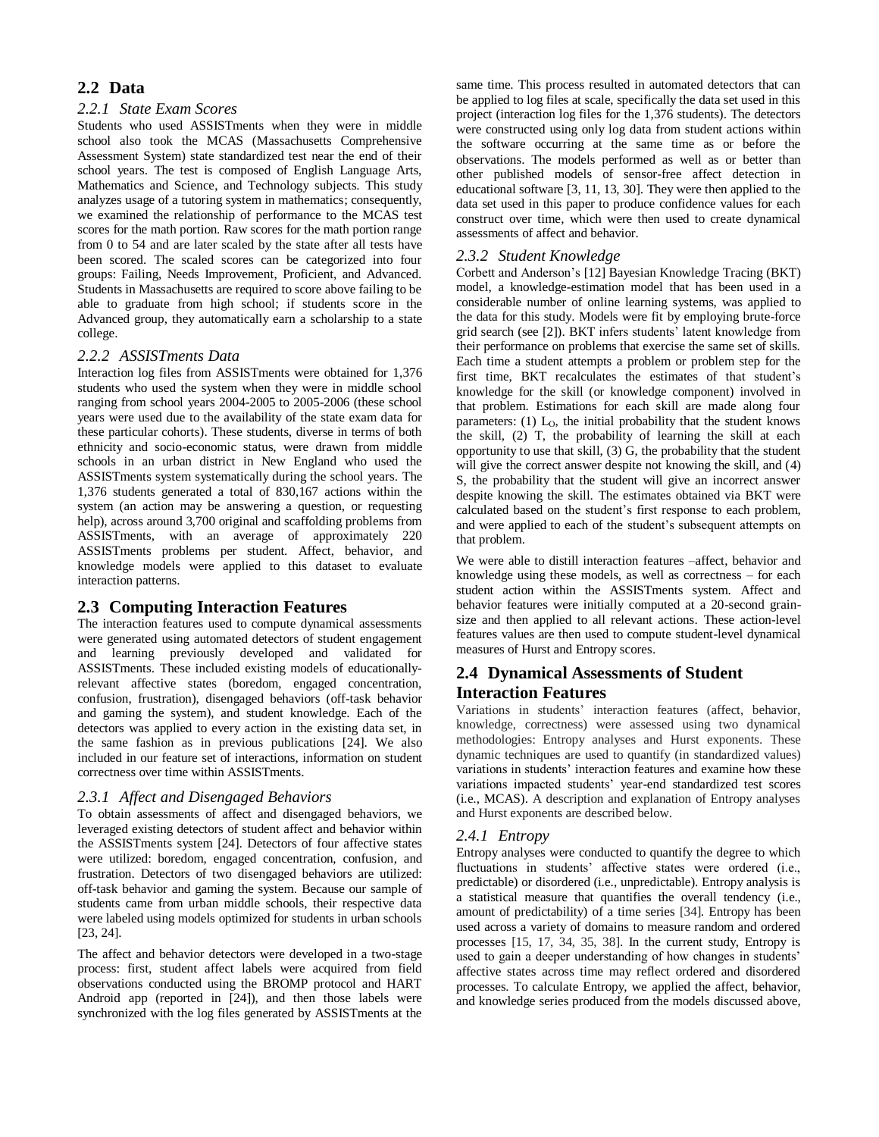# **2.2 Data**

## *2.2.1 State Exam Scores*

Students who used ASSISTments when they were in middle school also took the MCAS (Massachusetts Comprehensive Assessment System) state standardized test near the end of their school years. The test is composed of English Language Arts, Mathematics and Science, and Technology subjects. This study analyzes usage of a tutoring system in mathematics; consequently, we examined the relationship of performance to the MCAS test scores for the math portion. Raw scores for the math portion range from 0 to 54 and are later scaled by the state after all tests have been scored. The scaled scores can be categorized into four groups: Failing, Needs Improvement, Proficient, and Advanced. Students in Massachusetts are required to score above failing to be able to graduate from high school; if students score in the Advanced group, they automatically earn a scholarship to a state college.

#### *2.2.2 ASSISTments Data*

Interaction log files from ASSISTments were obtained for 1,376 students who used the system when they were in middle school ranging from school years 2004-2005 to 2005-2006 (these school years were used due to the availability of the state exam data for these particular cohorts). These students, diverse in terms of both ethnicity and socio-economic status, were drawn from middle schools in an urban district in New England who used the ASSISTments system systematically during the school years. The 1,376 students generated a total of 830,167 actions within the system (an action may be answering a question, or requesting help), across around 3,700 original and scaffolding problems from ASSISTments, with an average of approximately 220 ASSISTments problems per student. Affect, behavior, and knowledge models were applied to this dataset to evaluate interaction patterns.

## **2.3 Computing Interaction Features**

The interaction features used to compute dynamical assessments were generated using automated detectors of student engagement and learning previously developed and validated for ASSISTments. These included existing models of educationallyrelevant affective states (boredom, engaged concentration, confusion, frustration), disengaged behaviors (off-task behavior and gaming the system), and student knowledge. Each of the detectors was applied to every action in the existing data set, in the same fashion as in previous publications [24]. We also included in our feature set of interactions, information on student correctness over time within ASSISTments.

## *2.3.1 Affect and Disengaged Behaviors*

To obtain assessments of affect and disengaged behaviors, we leveraged existing detectors of student affect and behavior within the ASSISTments system [24]. Detectors of four affective states were utilized: boredom, engaged concentration, confusion, and frustration. Detectors of two disengaged behaviors are utilized: off-task behavior and gaming the system. Because our sample of students came from urban middle schools, their respective data were labeled using models optimized for students in urban schools [23, 24].

The affect and behavior detectors were developed in a two-stage process: first, student affect labels were acquired from field observations conducted using the BROMP protocol and HART Android app (reported in [24]), and then those labels were synchronized with the log files generated by ASSISTments at the

same time. This process resulted in automated detectors that can be applied to log files at scale, specifically the data set used in this project (interaction log files for the 1,376 students). The detectors were constructed using only log data from student actions within the software occurring at the same time as or before the observations. The models performed as well as or better than other published models of sensor-free affect detection in educational software [3, 11, 13, 30]. They were then applied to the data set used in this paper to produce confidence values for each construct over time, which were then used to create dynamical assessments of affect and behavior.

#### *2.3.2 Student Knowledge*

Corbett and Anderson's [12] Bayesian Knowledge Tracing (BKT) model, a knowledge-estimation model that has been used in a considerable number of online learning systems, was applied to the data for this study. Models were fit by employing brute-force grid search (see [2]). BKT infers students' latent knowledge from their performance on problems that exercise the same set of skills. Each time a student attempts a problem or problem step for the first time, BKT recalculates the estimates of that student's knowledge for the skill (or knowledge component) involved in that problem. Estimations for each skill are made along four parameters: (1)  $L_0$ , the initial probability that the student knows the skill, (2) T, the probability of learning the skill at each opportunity to use that skill, (3) G, the probability that the student will give the correct answer despite not knowing the skill, and  $(4)$ S, the probability that the student will give an incorrect answer despite knowing the skill. The estimates obtained via BKT were calculated based on the student's first response to each problem, and were applied to each of the student's subsequent attempts on that problem.

We were able to distill interaction features –affect, behavior and knowledge using these models, as well as correctness – for each student action within the ASSISTments system. Affect and behavior features were initially computed at a 20-second grainsize and then applied to all relevant actions. These action-level features values are then used to compute student-level dynamical measures of Hurst and Entropy scores.

# **2.4 Dynamical Assessments of Student Interaction Features**

Variations in students' interaction features (affect, behavior, knowledge, correctness) were assessed using two dynamical methodologies: Entropy analyses and Hurst exponents. These dynamic techniques are used to quantify (in standardized values) variations in students' interaction features and examine how these variations impacted students' year-end standardized test scores (i.e., MCAS). A description and explanation of Entropy analyses and Hurst exponents are described below.

## *2.4.1 Entropy*

Entropy analyses were conducted to quantify the degree to which fluctuations in students' affective states were ordered (i.e., predictable) or disordered (i.e., unpredictable). Entropy analysis is a statistical measure that quantifies the overall tendency (i.e., amount of predictability) of a time series [34]. Entropy has been used across a variety of domains to measure random and ordered processes [15, 17, 34, 35, 38]. In the current study, Entropy is used to gain a deeper understanding of how changes in students' affective states across time may reflect ordered and disordered processes. To calculate Entropy, we applied the affect, behavior, and knowledge series produced from the models discussed above,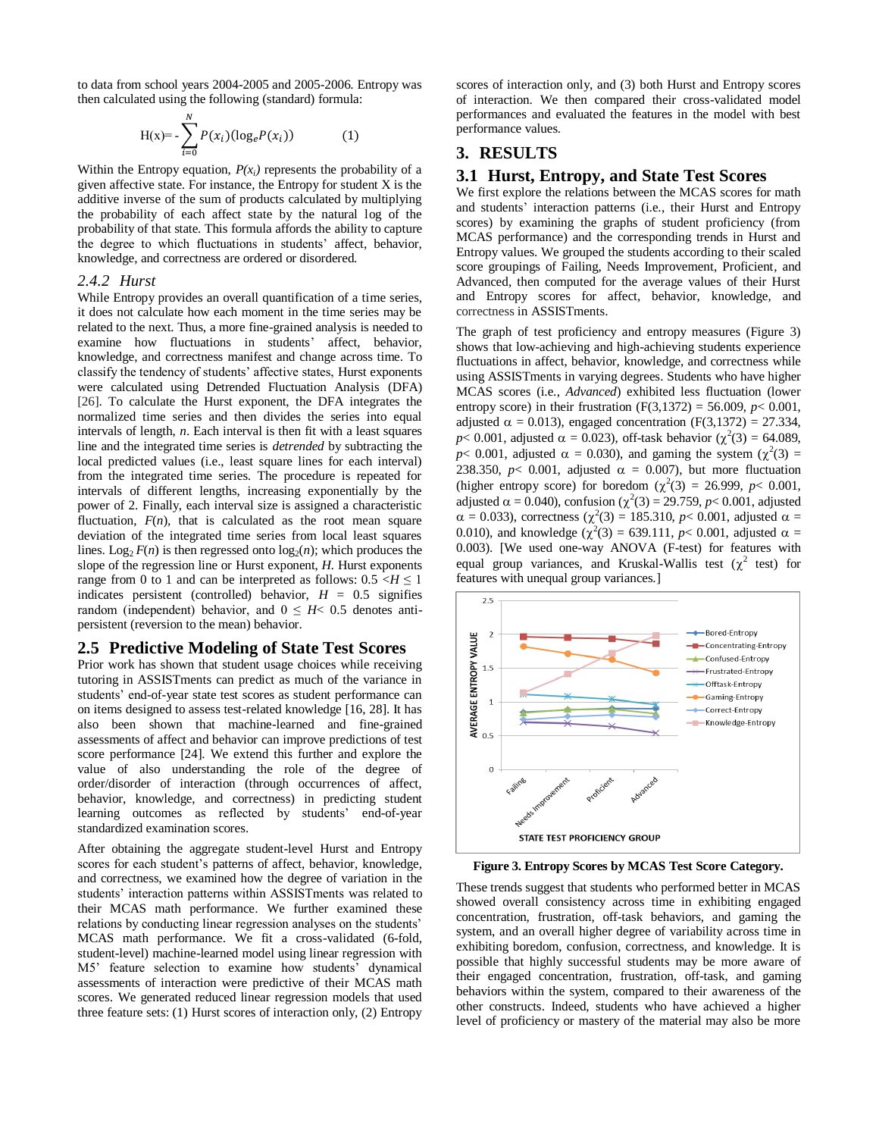to data from school years 2004-2005 and 2005-2006. Entropy was then calculated using the following (standard) formula:

$$
H(x) = -\sum_{i=0}^{N} P(x_i) (\log_e P(x_i))
$$
 (1)

Within the Entropy equation,  $P(x_i)$  represents the probability of a given affective state. For instance, the Entropy for student X is the additive inverse of the sum of products calculated by multiplying the probability of each affect state by the natural log of the probability of that state. This formula affords the ability to capture the degree to which fluctuations in students' affect, behavior, knowledge, and correctness are ordered or disordered.

#### *2.4.2 Hurst*

While Entropy provides an overall quantification of a time series, it does not calculate how each moment in the time series may be related to the next. Thus, a more fine-grained analysis is needed to examine how fluctuations in students' affect, behavior, knowledge, and correctness manifest and change across time. To classify the tendency of students' affective states, Hurst exponents were calculated using Detrended Fluctuation Analysis (DFA) [26]. To calculate the Hurst exponent, the DFA integrates the normalized time series and then divides the series into equal intervals of length, *n*. Each interval is then fit with a least squares line and the integrated time series is *detrended* by subtracting the local predicted values (i.e., least square lines for each interval) from the integrated time series. The procedure is repeated for intervals of different lengths, increasing exponentially by the power of 2. Finally, each interval size is assigned a characteristic fluctuation,  $F(n)$ , that is calculated as the root mean square deviation of the integrated time series from local least squares lines. Log<sub>2</sub>  $F(n)$  is then regressed onto  $log_2(n)$ ; which produces the slope of the regression line or Hurst exponent, *H.* Hurst exponents range from 0 to 1 and can be interpreted as follows:  $0.5 \leq H \leq 1$ indicates persistent (controlled) behavior,  $H = 0.5$  signifies random (independent) behavior, and  $0 \leq H < 0.5$  denotes antipersistent (reversion to the mean) behavior.

#### **2.5 Predictive Modeling of State Test Scores**

Prior work has shown that student usage choices while receiving tutoring in ASSISTments can predict as much of the variance in students' end-of-year state test scores as student performance can on items designed to assess test-related knowledge [16, 28]. It has also been shown that machine-learned and fine-grained assessments of affect and behavior can improve predictions of test score performance [24]. We extend this further and explore the value of also understanding the role of the degree of order/disorder of interaction (through occurrences of affect, behavior, knowledge, and correctness) in predicting student learning outcomes as reflected by students' end-of-year standardized examination scores.

After obtaining the aggregate student-level Hurst and Entropy scores for each student's patterns of affect, behavior, knowledge, and correctness, we examined how the degree of variation in the students' interaction patterns within ASSISTments was related to their MCAS math performance. We further examined these relations by conducting linear regression analyses on the students' MCAS math performance. We fit a cross-validated (6-fold, student-level) machine-learned model using linear regression with M5' feature selection to examine how students' dynamical assessments of interaction were predictive of their MCAS math scores. We generated reduced linear regression models that used three feature sets: (1) Hurst scores of interaction only, (2) Entropy

scores of interaction only, and (3) both Hurst and Entropy scores of interaction. We then compared their cross-validated model performances and evaluated the features in the model with best performance values.

## **3. RESULTS**

#### **3.1 Hurst, Entropy, and State Test Scores**

We first explore the relations between the MCAS scores for math and students' interaction patterns (i.e., their Hurst and Entropy scores) by examining the graphs of student proficiency (from MCAS performance) and the corresponding trends in Hurst and Entropy values. We grouped the students according to their scaled score groupings of Failing, Needs Improvement, Proficient, and Advanced, then computed for the average values of their Hurst and Entropy scores for affect, behavior, knowledge, and correctness in ASSISTments.

The graph of test proficiency and entropy measures (Figure 3) shows that low-achieving and high-achieving students experience fluctuations in affect, behavior, knowledge, and correctness while using ASSISTments in varying degrees. Students who have higher MCAS scores (i.e., *Advanced*) exhibited less fluctuation (lower entropy score) in their frustration (F(3,1372) = 56.009,  $p$  < 0.001, adjusted  $\alpha = 0.013$ ), engaged concentration (F(3,1372) = 27.334,  $p < 0.001$ , adjusted  $\alpha = 0.023$ ), off-task behavior ( $\chi^2(3) = 64.089$ ,  $p$ < 0.001, adjusted  $\alpha$  = 0.030), and gaming the system ( $\chi^2(3)$  = 238.350,  $p$ < 0.001, adjusted  $\alpha$  = 0.007), but more fluctuation (higher entropy score) for boredom  $(\chi^2(3) = 26.999, p < 0.001,$ adjusted  $\alpha = 0.040$ , confusion ( $\chi^2(3) = 29.759$ ,  $p < 0.001$ , adjusted  $\alpha = 0.033$ ), correctness ( $\chi^2(3) = 185.310$ ,  $p < 0.001$ , adjusted  $\alpha =$ 0.010), and knowledge ( $\chi^2(3) = 639.111$ ,  $p < 0.001$ , adjusted  $\alpha =$ 0.003). [We used one-way ANOVA (F-test) for features with equal group variances, and Kruskal-Wallis test  $(\chi^2$  test) for features with unequal group variances.]



**Figure 3. Entropy Scores by MCAS Test Score Category.**

These trends suggest that students who performed better in MCAS showed overall consistency across time in exhibiting engaged concentration, frustration, off-task behaviors, and gaming the system, and an overall higher degree of variability across time in exhibiting boredom, confusion, correctness, and knowledge. It is possible that highly successful students may be more aware of their engaged concentration, frustration, off-task, and gaming behaviors within the system, compared to their awareness of the other constructs. Indeed, students who have achieved a higher level of proficiency or mastery of the material may also be more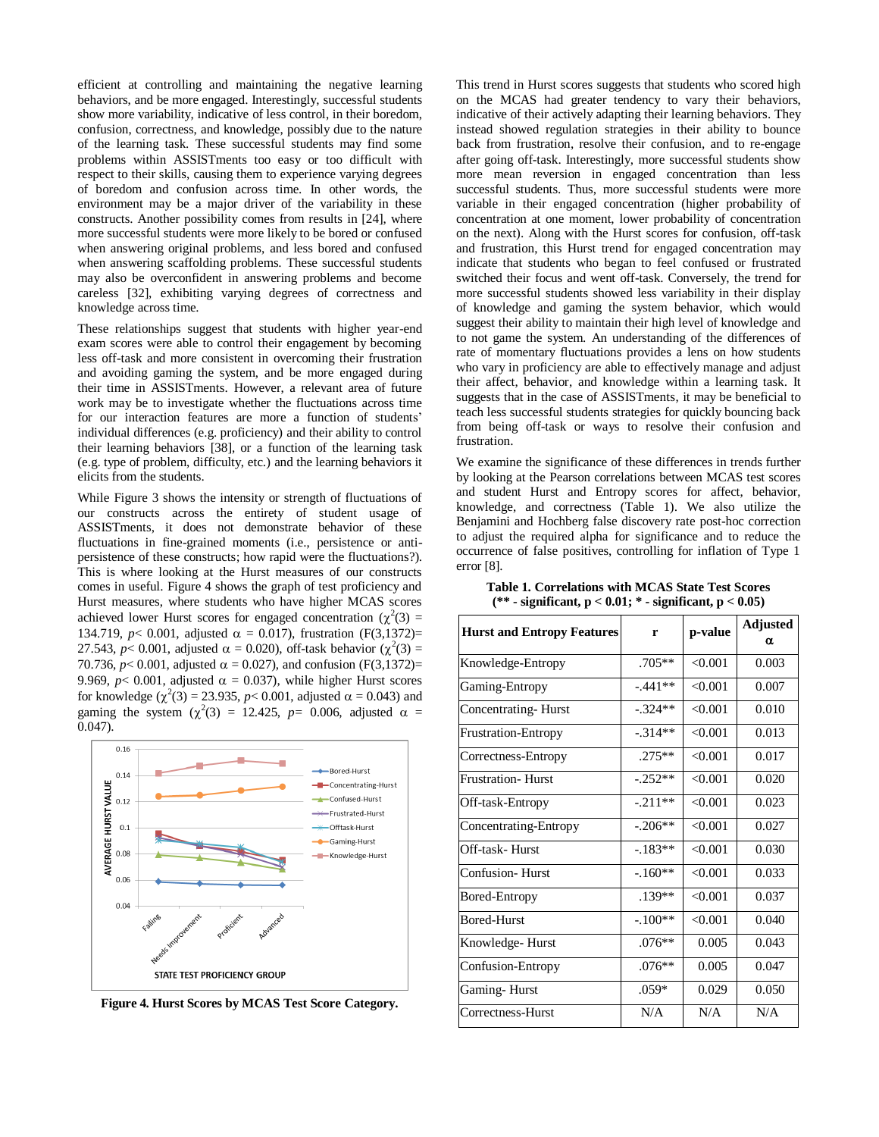efficient at controlling and maintaining the negative learning behaviors, and be more engaged. Interestingly, successful students show more variability, indicative of less control, in their boredom, confusion, correctness, and knowledge, possibly due to the nature of the learning task. These successful students may find some problems within ASSISTments too easy or too difficult with respect to their skills, causing them to experience varying degrees of boredom and confusion across time. In other words, the environment may be a major driver of the variability in these constructs. Another possibility comes from results in [24], where more successful students were more likely to be bored or confused when answering original problems, and less bored and confused when answering scaffolding problems. These successful students may also be overconfident in answering problems and become careless [32], exhibiting varying degrees of correctness and knowledge across time.

These relationships suggest that students with higher year-end exam scores were able to control their engagement by becoming less off-task and more consistent in overcoming their frustration and avoiding gaming the system, and be more engaged during their time in ASSISTments. However, a relevant area of future work may be to investigate whether the fluctuations across time for our interaction features are more a function of students' individual differences (e.g. proficiency) and their ability to control their learning behaviors [38], or a function of the learning task (e.g. type of problem, difficulty, etc.) and the learning behaviors it elicits from the students.

While Figure 3 shows the intensity or strength of fluctuations of our constructs across the entirety of student usage of ASSISTments, it does not demonstrate behavior of these fluctuations in fine-grained moments (i.e., persistence or antipersistence of these constructs; how rapid were the fluctuations?). This is where looking at the Hurst measures of our constructs comes in useful. Figure 4 shows the graph of test proficiency and Hurst measures, where students who have higher MCAS scores achieved lower Hurst scores for engaged concentration ( $\chi^2(3)$  = 134.719,  $p < 0.001$ , adjusted  $\alpha = 0.017$ ), frustration (F(3,1372)= 27.543,  $p < 0.001$ , adjusted  $\alpha = 0.020$ ), off-task behavior ( $\chi^2(3) =$ 70.736,  $p < 0.001$ , adjusted  $\alpha = 0.027$ ), and confusion (F(3,1372)= 9.969,  $p$ < 0.001, adjusted  $\alpha$  = 0.037), while higher Hurst scores for knowledge  $(\chi^2(3) = 23.935, p < 0.001,$  adjusted  $\alpha = 0.043$ ) and gaming the system  $(\chi^2(3) = 12.425, p= 0.006, \text{ adjusted } \alpha =$ 0.047).



**Figure 4. Hurst Scores by MCAS Test Score Category.**

This trend in Hurst scores suggests that students who scored high on the MCAS had greater tendency to vary their behaviors, indicative of their actively adapting their learning behaviors. They instead showed regulation strategies in their ability to bounce back from frustration, resolve their confusion, and to re-engage after going off-task. Interestingly, more successful students show more mean reversion in engaged concentration than less successful students. Thus, more successful students were more variable in their engaged concentration (higher probability of concentration at one moment, lower probability of concentration on the next). Along with the Hurst scores for confusion, off-task and frustration, this Hurst trend for engaged concentration may indicate that students who began to feel confused or frustrated switched their focus and went off-task. Conversely, the trend for more successful students showed less variability in their display of knowledge and gaming the system behavior, which would suggest their ability to maintain their high level of knowledge and to not game the system. An understanding of the differences of rate of momentary fluctuations provides a lens on how students who vary in proficiency are able to effectively manage and adjust their affect, behavior, and knowledge within a learning task. It suggests that in the case of ASSISTments, it may be beneficial to teach less successful students strategies for quickly bouncing back from being off-task or ways to resolve their confusion and frustration.

We examine the significance of these differences in trends further by looking at the Pearson correlations between MCAS test scores and student Hurst and Entropy scores for affect, behavior, knowledge, and correctness (Table 1). We also utilize the Benjamini and Hochberg false discovery rate post-hoc correction to adjust the required alpha for significance and to reduce the occurrence of false positives, controlling for inflation of Type 1 error [8].

**Table 1. Correlations with MCAS State Test Scores (\*\* - significant, p < 0.01; \* - significant, p < 0.05)**

| <b>Hurst and Entropy Features</b> | r         | p-value | <b>Adjusted</b><br>α |
|-----------------------------------|-----------|---------|----------------------|
| Knowledge-Entropy                 | $.705**$  | < 0.001 | 0.003                |
| Gaming-Entropy                    | $-441**$  | < 0.001 | 0.007                |
| Concentrating-Hurst               | $-.324**$ | < 0.001 | 0.010                |
| <b>Frustration-Entropy</b>        | $-.314**$ | < 0.001 | 0.013                |
| Correctness-Entropy               | $.275**$  | < 0.001 | 0.017                |
| <b>Frustration-Hurst</b>          | $-.252**$ | < 0.001 | 0.020                |
| Off-task-Entropy                  | $-211**$  | < 0.001 | 0.023                |
| Concentrating-Entropy             | $-.206**$ | < 0.001 | 0.027                |
| Off-task- Hurst                   | $-183**$  | < 0.001 | 0.030                |
| Confusion-Hurst                   | $-160**$  | < 0.001 | 0.033                |
| Bored-Entropy                     | $.139**$  | < 0.001 | 0.037                |
| <b>Bored-Hurst</b>                | $-.100**$ | < 0.001 | 0.040                |
| Knowledge-Hurst                   | $.076**$  | 0.005   | 0.043                |
| Confusion-Entropy                 | $.076**$  | 0.005   | 0.047                |
| Gaming-Hurst                      | $.059*$   | 0.029   | 0.050                |
| Correctness-Hurst                 | N/A       | N/A     | N/A                  |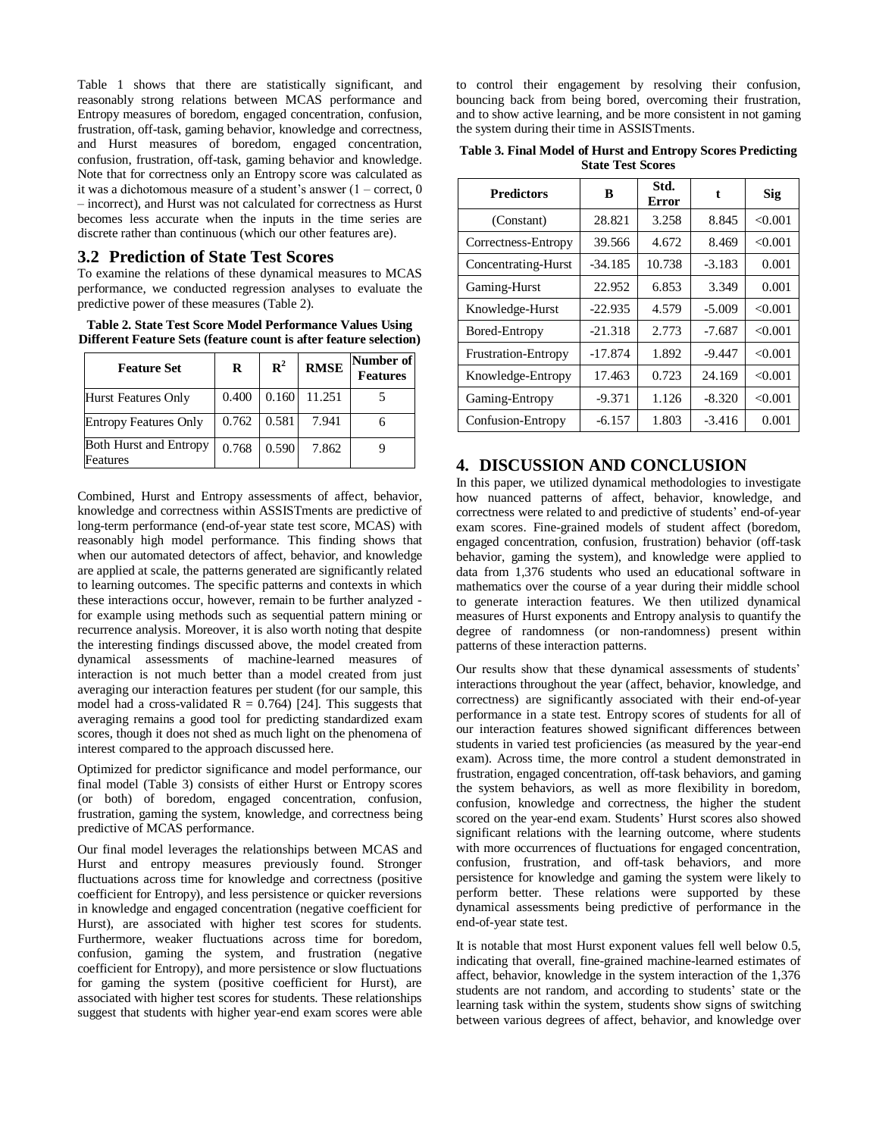Table 1 shows that there are statistically significant, and reasonably strong relations between MCAS performance and Entropy measures of boredom, engaged concentration, confusion, frustration, off-task, gaming behavior, knowledge and correctness, and Hurst measures of boredom, engaged concentration, confusion, frustration, off-task, gaming behavior and knowledge. Note that for correctness only an Entropy score was calculated as it was a dichotomous measure of a student's answer (1 – correct, 0 – incorrect), and Hurst was not calculated for correctness as Hurst becomes less accurate when the inputs in the time series are discrete rather than continuous (which our other features are).

#### **3.2 Prediction of State Test Scores**

To examine the relations of these dynamical measures to MCAS performance, we conducted regression analyses to evaluate the predictive power of these measures (Table 2).

**Table 2. State Test Score Model Performance Values Using Different Feature Sets (feature count is after feature selection)**

| <b>Feature Set</b>                        | $\bf{R}$ | $\mathbf{R}^2$ | <b>RMSE</b> | Number of<br><b>Features</b> |
|-------------------------------------------|----------|----------------|-------------|------------------------------|
| Hurst Features Only                       | 0.400    | 0.160          | 11.251      |                              |
| <b>Entropy Features Only</b>              | 0.762    | 0.581          | 7.941       |                              |
| <b>Both Hurst and Entropy</b><br>Features | 0.768    | 0.590          | 7.862       |                              |

Combined, Hurst and Entropy assessments of affect, behavior, knowledge and correctness within ASSISTments are predictive of long-term performance (end-of-year state test score, MCAS) with reasonably high model performance. This finding shows that when our automated detectors of affect, behavior, and knowledge are applied at scale, the patterns generated are significantly related to learning outcomes. The specific patterns and contexts in which these interactions occur, however, remain to be further analyzed for example using methods such as sequential pattern mining or recurrence analysis. Moreover, it is also worth noting that despite the interesting findings discussed above, the model created from dynamical assessments of machine-learned measures of interaction is not much better than a model created from just averaging our interaction features per student (for our sample, this model had a cross-validated  $R = 0.764$  [24]. This suggests that averaging remains a good tool for predicting standardized exam scores, though it does not shed as much light on the phenomena of interest compared to the approach discussed here.

Optimized for predictor significance and model performance, our final model (Table 3) consists of either Hurst or Entropy scores (or both) of boredom, engaged concentration, confusion, frustration, gaming the system, knowledge, and correctness being predictive of MCAS performance.

Our final model leverages the relationships between MCAS and Hurst and entropy measures previously found. Stronger fluctuations across time for knowledge and correctness (positive coefficient for Entropy), and less persistence or quicker reversions in knowledge and engaged concentration (negative coefficient for Hurst), are associated with higher test scores for students. Furthermore, weaker fluctuations across time for boredom, confusion, gaming the system, and frustration (negative coefficient for Entropy), and more persistence or slow fluctuations for gaming the system (positive coefficient for Hurst), are associated with higher test scores for students. These relationships suggest that students with higher year-end exam scores were able to control their engagement by resolving their confusion, bouncing back from being bored, overcoming their frustration, and to show active learning, and be more consistent in not gaming the system during their time in ASSISTments.

**Table 3. Final Model of Hurst and Entropy Scores Predicting State Test Scores**

| <b>Predictors</b>          | B         | Std.<br><b>Error</b> | t        | Sig     |
|----------------------------|-----------|----------------------|----------|---------|
| (Constant)                 | 28.821    | 3.258                | 8.845    | < 0.001 |
| Correctness-Entropy        | 39.566    | 4.672                | 8.469    | < 0.001 |
| Concentrating-Hurst        | $-34.185$ | 10.738               | $-3.183$ | 0.001   |
| Gaming-Hurst               | 22.952    | 6.853                | 3.349    | 0.001   |
| Knowledge-Hurst            | $-22.935$ | 4.579                | $-5.009$ | < 0.001 |
| Bored-Entropy              | $-21.318$ | 2.773                | $-7.687$ | < 0.001 |
| <b>Frustration-Entropy</b> | $-17.874$ | 1.892                | $-9.447$ | < 0.001 |
| Knowledge-Entropy          | 17.463    | 0.723                | 24.169   | < 0.001 |
| Gaming-Entropy             | $-9.371$  | 1.126                | $-8.320$ | < 0.001 |
| Confusion-Entropy          | $-6.157$  | 1.803                | $-3.416$ | 0.001   |

# **4. DISCUSSION AND CONCLUSION**

In this paper, we utilized dynamical methodologies to investigate how nuanced patterns of affect, behavior, knowledge, and correctness were related to and predictive of students' end-of-year exam scores. Fine-grained models of student affect (boredom, engaged concentration, confusion, frustration) behavior (off-task behavior, gaming the system), and knowledge were applied to data from 1,376 students who used an educational software in mathematics over the course of a year during their middle school to generate interaction features. We then utilized dynamical measures of Hurst exponents and Entropy analysis to quantify the degree of randomness (or non-randomness) present within patterns of these interaction patterns.

Our results show that these dynamical assessments of students' interactions throughout the year (affect, behavior, knowledge, and correctness) are significantly associated with their end-of-year performance in a state test. Entropy scores of students for all of our interaction features showed significant differences between students in varied test proficiencies (as measured by the year-end exam). Across time, the more control a student demonstrated in frustration, engaged concentration, off-task behaviors, and gaming the system behaviors, as well as more flexibility in boredom, confusion, knowledge and correctness, the higher the student scored on the year-end exam. Students' Hurst scores also showed significant relations with the learning outcome, where students with more occurrences of fluctuations for engaged concentration, confusion, frustration, and off-task behaviors, and more persistence for knowledge and gaming the system were likely to perform better. These relations were supported by these dynamical assessments being predictive of performance in the end-of-year state test.

It is notable that most Hurst exponent values fell well below 0.5, indicating that overall, fine-grained machine-learned estimates of affect, behavior, knowledge in the system interaction of the 1,376 students are not random, and according to students' state or the learning task within the system, students show signs of switching between various degrees of affect, behavior, and knowledge over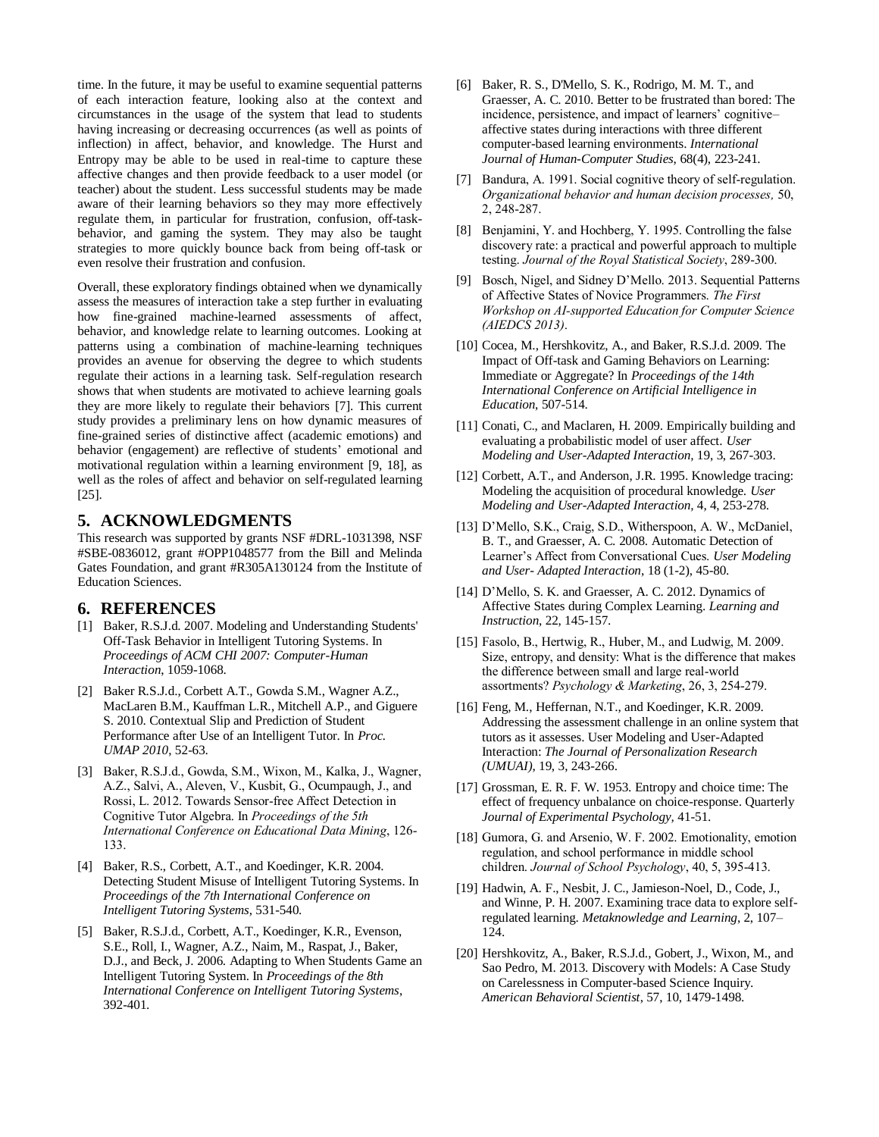time. In the future, it may be useful to examine sequential patterns of each interaction feature, looking also at the context and circumstances in the usage of the system that lead to students having increasing or decreasing occurrences (as well as points of inflection) in affect, behavior, and knowledge. The Hurst and Entropy may be able to be used in real-time to capture these affective changes and then provide feedback to a user model (or teacher) about the student. Less successful students may be made aware of their learning behaviors so they may more effectively regulate them, in particular for frustration, confusion, off-taskbehavior, and gaming the system. They may also be taught strategies to more quickly bounce back from being off-task or even resolve their frustration and confusion.

Overall, these exploratory findings obtained when we dynamically assess the measures of interaction take a step further in evaluating how fine-grained machine-learned assessments of affect, behavior, and knowledge relate to learning outcomes. Looking at patterns using a combination of machine-learning techniques provides an avenue for observing the degree to which students regulate their actions in a learning task. Self-regulation research shows that when students are motivated to achieve learning goals they are more likely to regulate their behaviors [7]. This current study provides a preliminary lens on how dynamic measures of fine-grained series of distinctive affect (academic emotions) and behavior (engagement) are reflective of students' emotional and motivational regulation within a learning environment [9, 18], as well as the roles of affect and behavior on self-regulated learning [25].

# **5. ACKNOWLEDGMENTS**

This research was supported by grants NSF #DRL-1031398, NSF #SBE-0836012, grant #OPP1048577 from the Bill and Melinda Gates Foundation, and grant #R305A130124 from the Institute of Education Sciences.

# **6. REFERENCES**

- [1] Baker, R.S.J.d. 2007. Modeling and Understanding Students' Off-Task Behavior in Intelligent Tutoring Systems. In *Proceedings of ACM CHI 2007: Computer-Human Interaction*, 1059-1068.
- [2] Baker R.S.J.d., Corbett A.T., Gowda S.M., Wagner A.Z., MacLaren B.M., Kauffman L.R., Mitchell A.P., and Giguere S. 2010. Contextual Slip and Prediction of Student Performance after Use of an Intelligent Tutor. In *Proc. UMAP 2010*, 52-63.
- [3] Baker, R.S.J.d., Gowda, S.M., Wixon, M., Kalka, J., Wagner, A.Z., Salvi, A., Aleven, V., Kusbit, G., Ocumpaugh, J., and Rossi, L. 2012. Towards Sensor-free Affect Detection in Cognitive Tutor Algebra. In *Proceedings of the 5th International Conference on Educational Data Mining*, 126- 133.
- [4] Baker, R.S., Corbett, A.T., and Koedinger, K.R. 2004. Detecting Student Misuse of Intelligent Tutoring Systems. In *Proceedings of the 7th International Conference on Intelligent Tutoring Systems*, 531-540.
- [5] Baker, R.S.J.d., Corbett, A.T., Koedinger, K.R., Evenson, S.E., Roll, I., Wagner, A.Z., Naim, M., Raspat, J., Baker, D.J., and Beck, J. 2006. Adapting to When Students Game an Intelligent Tutoring System. In *Proceedings of the 8th International Conference on Intelligent Tutoring Systems*, 392-401.
- [6] Baker, R. S., D'Mello, S. K., Rodrigo, M. M. T., and Graesser, A. C. 2010. Better to be frustrated than bored: The incidence, persistence, and impact of learners' cognitive– affective states during interactions with three different computer-based learning environments. *International Journal of Human-Computer Studies*, 68(4), 223-241.
- [7] Bandura, A. 1991. Social cognitive theory of self-regulation. *Organizational behavior and human decision processes,* 50, 2, 248-287.
- [8] Benjamini, Y. and Hochberg, Y. 1995. Controlling the false discovery rate: a practical and powerful approach to multiple testing. *Journal of the Royal Statistical Society*, 289-300.
- [9] Bosch, Nigel, and Sidney D'Mello. 2013. Sequential Patterns of Affective States of Novice Programmers. *The First Workshop on AI-supported Education for Computer Science (AIEDCS 2013)*.
- [10] Cocea, M., Hershkovitz, A., and Baker, R.S.J.d. 2009. The Impact of Off-task and Gaming Behaviors on Learning: Immediate or Aggregate? In *Proceedings of the 14th International Conference on Artificial Intelligence in Education*, 507-514.
- [11] Conati, C., and Maclaren, H. 2009. Empirically building and evaluating a probabilistic model of user affect. *User Modeling and User-Adapted Interaction,* 19, 3, 267-303.
- [12] Corbett, A.T., and Anderson, J.R. 1995. Knowledge tracing: Modeling the acquisition of procedural knowledge. *User Modeling and User-Adapted Interaction,* 4, 4, 253-278.
- [13] D'Mello, S.K., Craig, S.D., Witherspoon, A. W., McDaniel, B. T., and Graesser, A. C. 2008. Automatic Detection of Learner's Affect from Conversational Cues. *User Modeling and User- Adapted Interaction*, 18 (1-2), 45-80.
- [14] D'Mello, S. K. and Graesser, A. C. 2012. Dynamics of Affective States during Complex Learning. *Learning and Instruction*, 22, 145-157.
- [15] Fasolo, B., Hertwig, R., Huber, M., and Ludwig, M. 2009. Size, entropy, and density: What is the difference that makes the difference between small and large real-world assortments? *Psychology & Marketing*, 26, 3, 254-279.
- [16] Feng, M., Heffernan, N.T., and Koedinger, K.R. 2009. Addressing the assessment challenge in an online system that tutors as it assesses. User Modeling and User-Adapted Interaction: *The Journal of Personalization Research (UMUAI)*, 19, 3, 243-266.
- [17] Grossman, E. R. F. W. 1953. Entropy and choice time: The effect of frequency unbalance on choice-response. Quarterly *Journal of Experimental Psychology,* 41-51.
- [18] Gumora, G. and Arsenio, W. F. 2002. Emotionality, emotion regulation, and school performance in middle school children. *Journal of School Psychology*, 40, 5, 395-413.
- [19] Hadwin, A. F., Nesbit, J. C., Jamieson-Noel, D., Code, J., and Winne, P. H. 2007. Examining trace data to explore selfregulated learning. *Metaknowledge and Learning*, 2, 107– 124.
- [20] Hershkovitz, A., Baker, R.S.J.d., Gobert, J., Wixon, M., and Sao Pedro, M. 2013. Discovery with Models: A Case Study on Carelessness in Computer-based Science Inquiry. *American Behavioral Scientist*, 57, 10, 1479-1498.